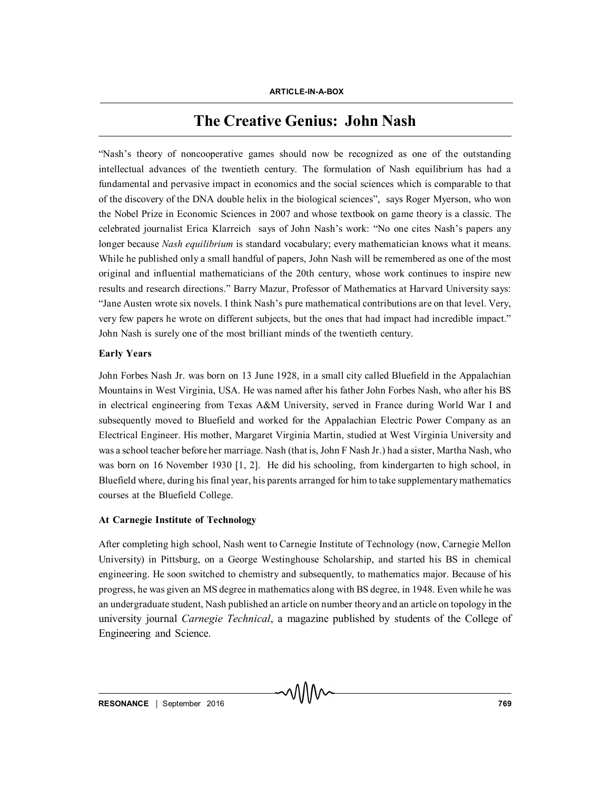# **The Creative Genius: John Nash**

"Nash's theory of noncooperative games should now be recognized as one of the outstanding intellectual advances of the twentieth century. The formulation of Nash equilibrium has had a fundamental and pervasive impact in economics and the social sciences which is comparable to that of the discovery of the DNA double helix in the biological sciences", says Roger Myerson, who won the Nobel Prize in Economic Sciences in 2007 and whose textbook on game theory is a classic. The celebrated journalist Erica Klarreich says of John Nash's work: "No one cites Nash's papers any longer because *Nash equilibrium* is standard vocabulary; every mathematician knows what it means. While he published only a small handful of papers, John Nash will be remembered as one of the most original and influential mathematicians of the 20th century, whose work continues to inspire new results and research directions." Barry Mazur, Professor of Mathematics at Harvard University says: "Jane Austen wrote six novels. I think Nash's pure mathematical contributions are on that level. Very, very few papers he wrote on different subjects, but the ones that had impact had incredible impact." John Nash is surely one of the most brilliant minds of the twentieth century.

## **Early Years**

John Forbes Nash Jr. was born on 13 June 1928, in a small city called Bluefield in the Appalachian Mountains in West Virginia, USA. He was named after his father John Forbes Nash, who after his BS in electrical engineering from Texas A&M University, served in France during World War I and subsequently moved to Bluefield and worked for the Appalachian Electric Power Company as an Electrical Engineer. His mother, Margaret Virginia Martin, studied at West Virginia University and was a school teacher before her marriage. Nash (that is, John F Nash Jr.) had a sister, Martha Nash, who was born on 16 November 1930 [1, 2]. He did his schooling, from kindergarten to high school, in Bluefield where, during his final year, his parents arranged for him to take supplementary mathematics courses at the Bluefield College.

## **At Carnegie Institute of Technology**

After completing high school, Nash went to Carnegie Institute of Technology (now, Carnegie Mellon University) in Pittsburg, on a George Westinghouse Scholarship, and started his BS in chemical engineering. He soon switched to chemistry and subsequently, to mathematics major. Because of his progress, he was given an MS degree in mathematics along with BS degree, in 1948. Even while he was an undergraduate student, Nash published an article on number theory and an article on topology in the university journal *Carnegie Technical*, a magazine published by students of the College of Engineering and Science.

VIIIIV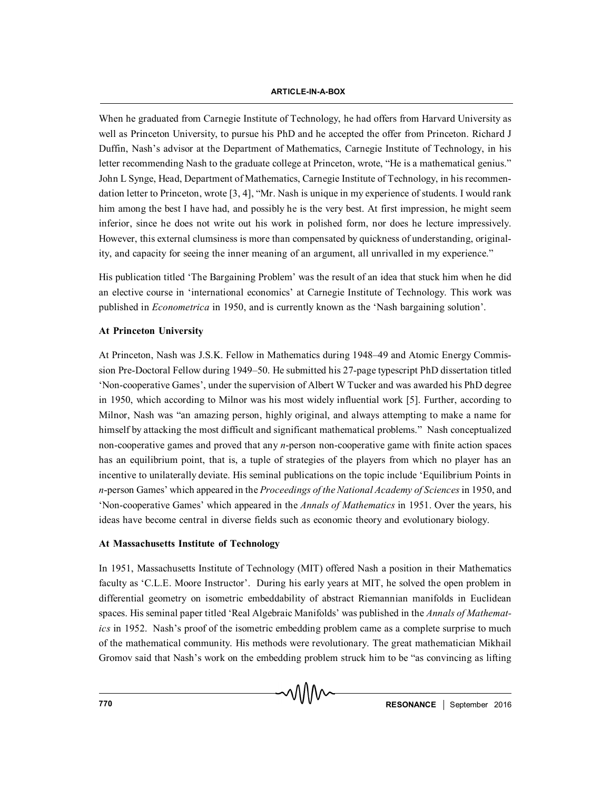When he graduated from Carnegie Institute of Technology, he had offers from Harvard University as well as Princeton University, to pursue his PhD and he accepted the offer from Princeton. Richard J Duffin, Nash's advisor at the Department of Mathematics, Carnegie Institute of Technology, in his letter recommending Nash to the graduate college at Princeton, wrote, "He is a mathematical genius." John L Synge, Head, Department of Mathematics, Carnegie Institute of Technology, in his recommendation letter to Princeton, wrote [3, 4], "Mr. Nash is unique in my experience of students. I would rank him among the best I have had, and possibly he is the very best. At first impression, he might seem inferior, since he does not write out his work in polished form, nor does he lecture impressively. However, this external clumsiness is more than compensated by quickness of understanding, originality, and capacity for seeing the inner meaning of an argument, all unrivalled in my experience."

His publication titled 'The Bargaining Problem' was the result of an idea that stuck him when he did an elective course in 'international economics' at Carnegie Institute of Technology. This work was published in *Econometrica* in 1950, and is currently known as the 'Nash bargaining solution'.

## **At Princeton University**

At Princeton, Nash was J.S.K. Fellow in Mathematics during 1948–49 and Atomic Energy Commission Pre-Doctoral Fellow during 1949–50. He submitted his 27-page typescript PhD dissertation titled 'Non-cooperative Games', under the supervision of Albert W Tucker and was awarded his PhD degree in 1950, which according to Milnor was his most widely influential work [5]. Further, according to Milnor, Nash was "an amazing person, highly original, and always attempting to make a name for himself by attacking the most difficult and significant mathematical problems." Nash conceptualized non-cooperative games and proved that any *n*-person non-cooperative game with finite action spaces has an equilibrium point, that is, a tuple of strategies of the players from which no player has an incentive to unilaterally deviate. His seminal publications on the topic include 'Equilibrium Points in *n*-person Games' which appeared in the *Proceedings of the National Academy of Sciences* in 1950, and 'Non-cooperative Games' which appeared in the *Annals of Mathematics* in 1951. Over the years, his ideas have become central in diverse fields such as economic theory and evolutionary biology.

#### **At Massachusetts Institute of Technology**

In 1951, Massachusetts Institute of Technology (MIT) offered Nash a position in their Mathematics faculty as 'C.L.E. Moore Instructor'. During his early years at MIT, he solved the open problem in differential geometry on isometric embeddability of abstract Riemannian manifolds in Euclidean spaces. His seminal paper titled 'Real Algebraic Manifolds' was published in the *Annals of Mathematics* in 1952. Nash's proof of the isometric embedding problem came as a complete surprise to much of the mathematical community. His methods were revolutionary. The great mathematician Mikhail Gromov said that Nash's work on the embedding problem struck him to be "as convincing as lifting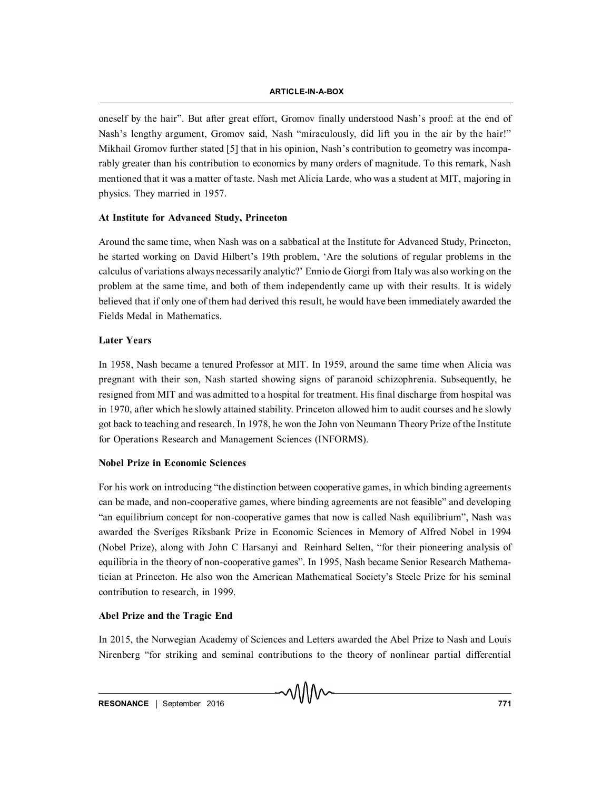oneself by the hair". But after great effort, Gromov finally understood Nash's proof: at the end of Nash's lengthy argument, Gromov said, Nash "miraculously, did lift you in the air by the hair!" Mikhail Gromov further stated [5] that in his opinion, Nash's contribution to geometry was incomparably greater than his contribution to economics by many orders of magnitude. To this remark, Nash mentioned that it was a matter of taste. Nash met Alicia Larde, who was a student at MIT, majoring in physics. They married in 1957.

#### **At Institute for Advanced Study, Princeton**

Around the same time, when Nash was on a sabbatical at the Institute for Advanced Study, Princeton, he started working on David Hilbert's 19th problem, 'Are the solutions of regular problems in the calculus of variations always necessarily analytic?' Ennio de Giorgi from Italy was also working on the problem at the same time, and both of them independently came up with their results. It is widely believed that if only one of them had derived this result, he would have been immediately awarded the Fields Medal in Mathematics.

#### **Later Years**

In 1958, Nash became a tenured Professor at MIT. In 1959, around the same time when Alicia was pregnant with their son, Nash started showing signs of paranoid schizophrenia. Subsequently, he resigned from MIT and was admitted to a hospital for treatment. His final discharge from hospital was in 1970, after which he slowly attained stability. Princeton allowed him to audit courses and he slowly got back to teaching and research. In 1978, he won the John von Neumann Theory Prize of the Institute for Operations Research and Management Sciences (INFORMS).

#### **Nobel Prize in Economic Sciences**

For his work on introducing "the distinction between cooperative games, in which binding agreements can be made, and non-cooperative games, where binding agreements are not feasible" and developing "an equilibrium concept for non-cooperative games that now is called Nash equilibrium", Nash was awarded the Sveriges Riksbank Prize in Economic Sciences in Memory of Alfred Nobel in 1994 (Nobel Prize), along with John C Harsanyi and Reinhard Selten, "for their pioneering analysis of equilibria in the theory of non-cooperative games". In 1995, Nash became Senior Research Mathematician at Princeton. He also won the American Mathematical Society's Steele Prize for his seminal contribution to research, in 1999.

## **Abel Prize and the Tragic End**

In 2015, the Norwegian Academy of Sciences and Letters awarded the Abel Prize to Nash and Louis Nirenberg "for striking and seminal contributions to the theory of nonlinear partial differential